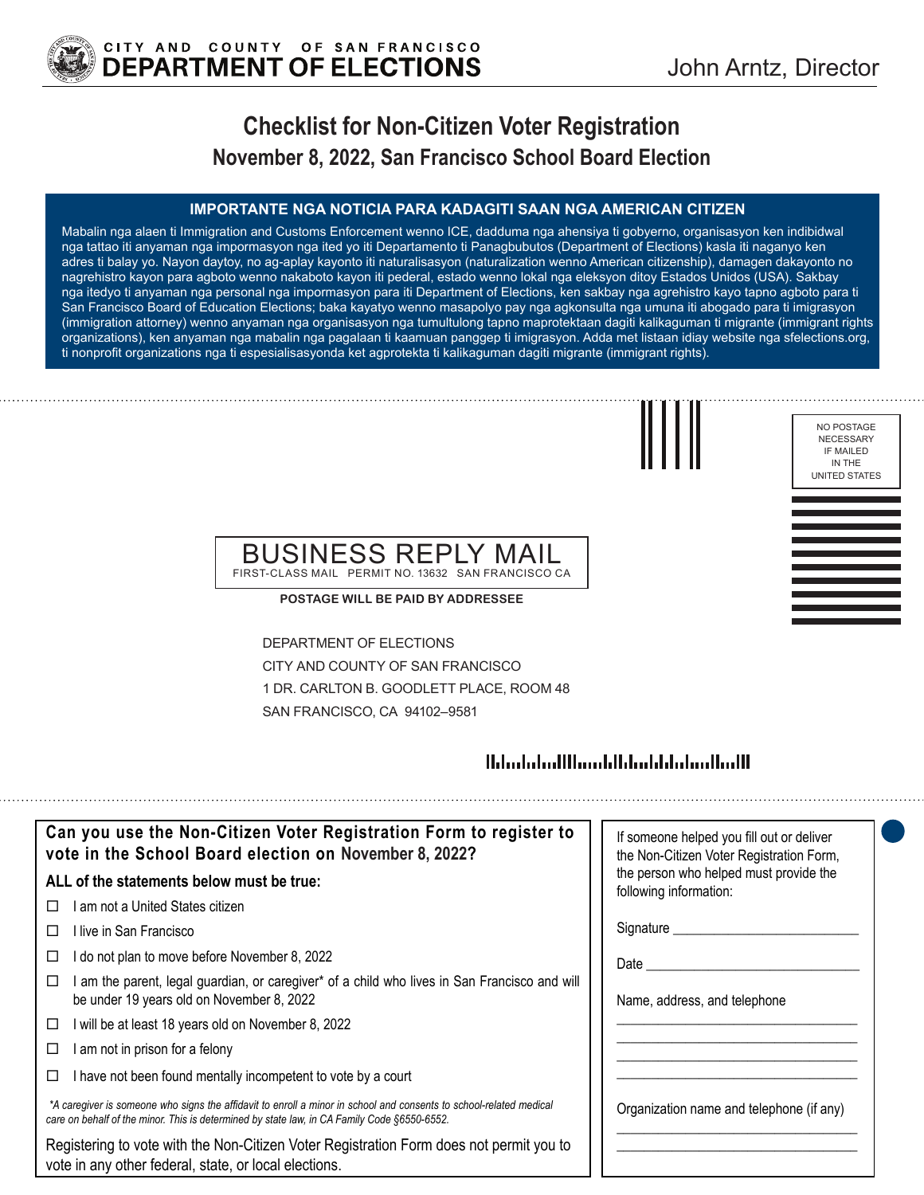

NO POSTAGE NECESSARY IF MAILED IN THE UNITED STATES

# **Checklist for Non-Citizen Voter Registration November 8, 2022, San Francisco School Board Election**

#### **IMPORTANTE NGA NOTICIA PARA KADAGITI SAAN NGA AMERICAN CITIZEN**

Mabalin nga alaen ti Immigration and Customs Enforcement wenno ICE, dadduma nga ahensiya ti gobyerno, organisasyon ken indibidwal nga tattao iti anyaman nga impormasyon nga ited yo iti Departamento ti Panagbubutos (Department of Elections) kasla iti naganyo ken adres ti balay yo. Nayon daytoy, no ag-aplay kayonto iti naturalisasyon (naturalization wenno American citizenship), damagen dakayonto no nagrehistro kayon para agboto wenno nakaboto kayon iti pederal, estado wenno lokal nga eleksyon ditoy Estados Unidos (USA). Sakbay nga itedyo ti anyaman nga personal nga impormasyon para iti Department of Elections, ken sakbay nga agrehistro kayo tapno agboto para ti San Francisco Board of Education Elections; baka kayatyo wenno masapolyo pay nga agkonsulta nga umuna iti abogado para ti imigrasyon (immigration attorney) wenno anyaman nga organisasyon nga tumultulong tapno maprotektaan dagiti kalikaguman ti migrante (immigrant rights organizations), ken anyaman nga mabalin nga pagalaan ti kaamuan panggep ti imigrasyon. Adda met listaan idiay website nga sfelections.org, ti nonprofit organizations nga ti espesialisasyonda ket agprotekta ti kalikaguman dagiti migrante (immigrant rights).



### BUSINESS REPLY MAIL FIRST-CLASS MAIL PERMIT NO. 13632 SAN FRANCISCO CA

**POSTAGE WILL BE PAID BY ADDRESSEE**

DEPARTMENT OF ELECTIONS CITY AND COUNTY OF SAN FRANCISCO 1 DR. CARLTON B. GOODLETT PLACE, ROOM 48 SAN FRANCISCO, CA 94102–9581

### 

| Can you use the Non-Citizen Voter Registration Form to register to<br>vote in the School Board election on November 8, 2022?                                                                                      | If someone helped you fill out or deliver<br>the Non-Citizen Voter Registration Form, |
|-------------------------------------------------------------------------------------------------------------------------------------------------------------------------------------------------------------------|---------------------------------------------------------------------------------------|
| ALL of the statements below must be true:                                                                                                                                                                         | the person who helped must provide the<br>following information:                      |
| am not a United States citizen<br>$\perp$                                                                                                                                                                         |                                                                                       |
| l live in San Francisco<br>$\Box$                                                                                                                                                                                 | Signature                                                                             |
| do not plan to move before November 8, 2022<br>ப                                                                                                                                                                  | Date $\_\_$                                                                           |
| am the parent, legal guardian, or caregiver* of a child who lives in San Francisco and will<br>be under 19 years old on November 8, 2022                                                                          | Name, address, and telephone                                                          |
| will be at least 18 years old on November 8, 2022<br>□                                                                                                                                                            |                                                                                       |
| am not in prison for a felony<br>⊔                                                                                                                                                                                |                                                                                       |
| I have not been found mentally incompetent to vote by a court                                                                                                                                                     |                                                                                       |
| *A caregiver is someone who signs the affidavit to enroll a minor in school and consents to school-related medical<br>care on behalf of the minor. This is determined by state law, in CA Family Code §6550-6552. | Organization name and telephone (if any)                                              |
| Registering to vote with the Non-Citizen Voter Registration Form does not permit you to<br>vote in any other federal, state, or local elections.                                                                  |                                                                                       |